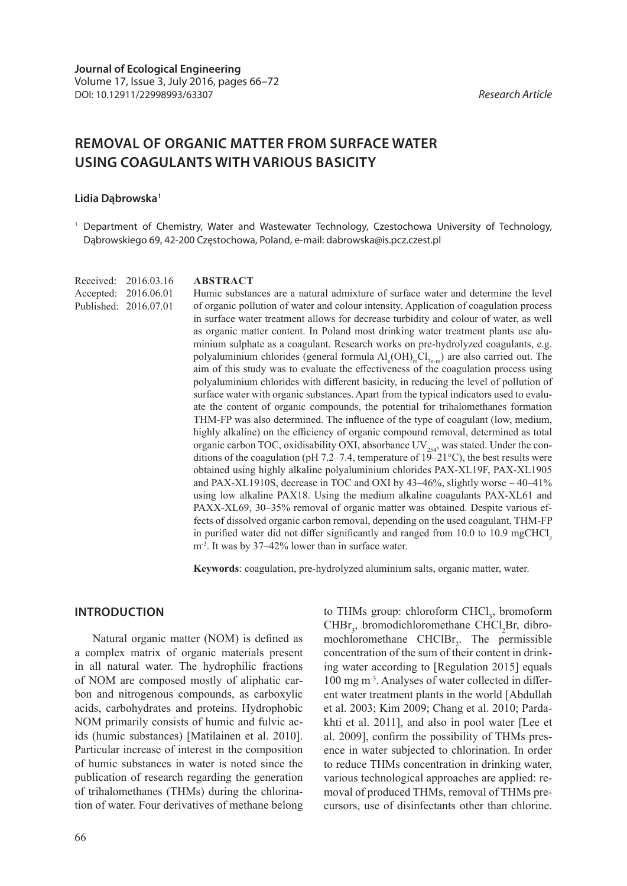# **REMOVAL OF ORGANIC MATTER FROM SURFACE WATER USING COAGULANTS WITH VARIOUS BASICITY**

#### **Lidia Dąbrowska1**

<sup>1</sup> Department of Chemistry, Water and Wastewater Technology, Czestochowa University of Technology, Dąbrowskiego 69, 42-200 Częstochowa, Poland, e-mail: dabrowska@is.pcz.czest.pl

Received: 2016.03.16 Accepted: 2016.06.01 Published: 2016.07.01

#### **ABSTRACT**

Humic substances are a natural admixture of surface water and determine the level of organic pollution of water and colour intensity. Application of coagulation process in surface water treatment allows for decrease turbidity and colour of water, as well as organic matter content. In Poland most drinking water treatment plants use aluminium sulphate as a coagulant. Research works on pre-hydrolyzed coagulants, e.g. polyaluminium chlorides (general formula  $\text{Al}_{n}(\text{OH})_{m}\text{Cl}_{3n-m}$ ) are also carried out. The aim of this study was to evaluate the effectiveness of the coagulation process using polyaluminium chlorides with different basicity, in reducing the level of pollution of surface water with organic substances. Apart from the typical indicators used to evaluate the content of organic compounds, the potential for trihalomethanes formation THM-FP was also determined. The influence of the type of coagulant (low, medium, highly alkaline) on the efficiency of organic compound removal, determined as total organic carbon TOC, oxidisability OXI, absorbance  $UV_{254}$ , was stated. Under the conditions of the coagulation (pH 7.2–7.4, temperature of  $19-21^{\circ}$ C), the best results were obtained using highly alkaline polyaluminium chlorides PAX-XL19F, PAX-XL1905 and PAX-XL1910S, decrease in TOC and OXI by 43–46%, slightly worse – 40–41% using low alkaline PAX18. Using the medium alkaline coagulants PAX-XL61 and PAXX-XL69, 30–35% removal of organic matter was obtained. Despite various effects of dissolved organic carbon removal, depending on the used coagulant, THM-FP in purified water did not differ significantly and ranged from  $10.0$  to  $10.9$  mgCHCl, m<sup>-3</sup>. It was by 37–42% lower than in surface water.

**Keywords**: coagulation, pre-hydrolyzed aluminium salts, organic matter, water.

### **INTRODUCTION**

Natural organic matter (NOM) is defined as a complex matrix of organic materials present in all natural water. The hydrophilic fractions of NOM are composed mostly of aliphatic carbon and nitrogenous compounds, as carboxylic acids, carbohydrates and proteins. Hydrophobic NOM primarily consists of humic and fulvic acids (humic substances) [Matilainen et al. 2010]. Particular increase of interest in the composition of humic substances in water is noted since the publication of research regarding the generation of trihalomethanes (THMs) during the chlorination of water. Four derivatives of methane belong

to THMs group: chloroform  $CHCl<sub>3</sub>$ , bromoform CHBr<sub>3</sub>, bromodichloromethane CHCl<sub>2</sub>Br, dibromochloromethane  $CHClBr_2$ . The permissible concentration of the sum of their content in drinking water according to [Regulation 2015] equals 100 mg m-3. Analyses of water collected in different water treatment plants in the world [Abdullah et al. 2003; Kim 2009; Chang et al. 2010; Pardakhti et al. 2011], and also in pool water [Lee et al. 2009], confirm the possibility of THMs presence in water subjected to chlorination. In order to reduce THMs concentration in drinking water, various technological approaches are applied: removal of produced THMs, removal of THMs precursors, use of disinfectants other than chlorine.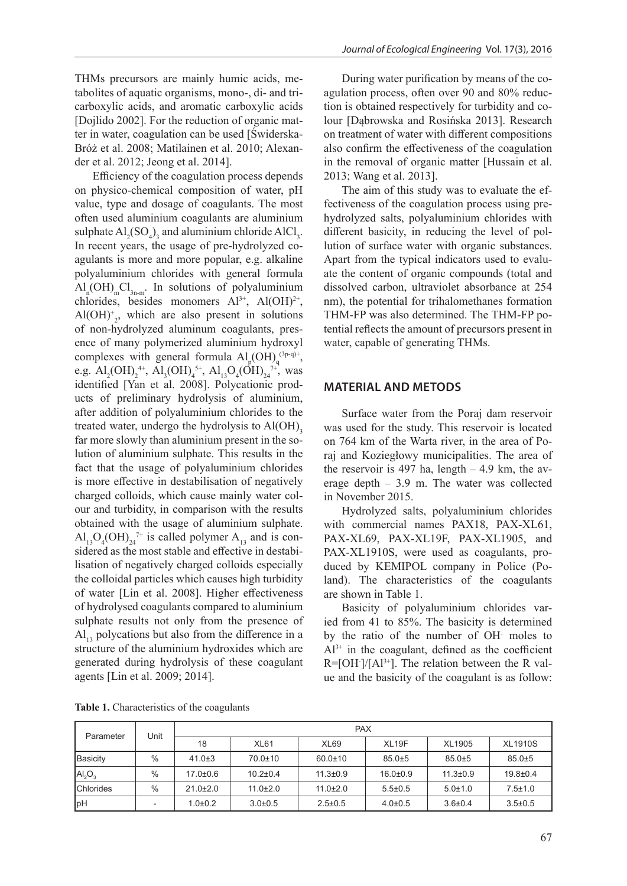THMs precursors are mainly humic acids, metabolites of aquatic organisms, mono-, di- and tricarboxylic acids, and aromatic carboxylic acids [Dojlido 2002]. For the reduction of organic matter in water, coagulation can be used [Świderska-Bróż et al. 2008; Matilainen et al. 2010; Alexander et al. 2012; Jeong et al. 2014].

Efficiency of the coagulation process depends on physico-chemical composition of water, pH value, type and dosage of coagulants. The most often used aluminium coagulants are aluminium sulphate  $Al_2(SO_4)$ , and aluminium chloride AlCl<sub>3</sub>. In recent years, the usage of pre-hydrolyzed coagulants is more and more popular, e.g. alkaline polyaluminium chlorides with general formula  $\text{Al}_{n}(\text{OH})_{m}\text{Cl}_{3n-m}$ . In solutions of polyaluminium chlorides, besides monomers  $Al^{3+}$ ,  $Al(OH)^{2+}$ ,  $Al(OH)<sup>+</sup><sub>2</sub>$ , which are also present in solutions of non-hydrolyzed aluminum coagulants, presence of many polymerized aluminium hydroxyl complexes with general formula  $\text{Al}_p(\text{OH})_q^{(3p\text{-}q)+}$ , e.g.  $\text{Al}_2(\text{OH})_2^{4+}$ ,  $\text{Al}_3(\text{OH})_4^{5+}$ ,  $\text{Al}_{13}\text{O}_4(\text{OH})_{24}^{7+}$ , was identified [Yan et al. 2008]. Polycationic products of preliminary hydrolysis of aluminium, after addition of polyaluminium chlorides to the treated water, undergo the hydrolysis to Al(OH), far more slowly than aluminium present in the solution of aluminium sulphate. This results in the fact that the usage of polyaluminium chlorides is more effective in destabilisation of negatively charged colloids, which cause mainly water colour and turbidity, in comparison with the results obtained with the usage of aluminium sulphate.  $Al_{13}O_4(OH)_{24}^{7+}$  is called polymer  $A_{13}$  and is considered as the most stable and effective in destabilisation of negatively charged colloids especially the colloidal particles which causes high turbidity of water [Lin et al. 2008]. Higher effectiveness of hydrolysed coagulants compared to aluminium sulphate results not only from the presence of  $Al<sub>13</sub>$  polycations but also from the difference in a structure of the aluminium hydroxides which are generated during hydrolysis of these coagulant agents [Lin et al. 2009; 2014].

During water purification by means of the coagulation process, often over 90 and 80% reduction is obtained respectively for turbidity and colour [Dąbrowska and Rosińska 2013]. Research on treatment of water with different compositions also confirm the effectiveness of the coagulation in the removal of organic matter [Hussain et al. 2013; Wang et al. 2013].

The aim of this study was to evaluate the effectiveness of the coagulation process using prehydrolyzed salts, polyaluminium chlorides with different basicity, in reducing the level of pollution of surface water with organic substances. Apart from the typical indicators used to evaluate the content of organic compounds (total and dissolved carbon, ultraviolet absorbance at 254 nm), the potential for trihalomethanes formation THM-FP was also determined. The THM-FP potential reflects the amount of precursors present in water, capable of generating THMs.

### **MATERIAL AND METODS**

Surface water from the Poraj dam reservoir was used for the study. This reservoir is located on 764 km of the Warta river, in the area of Poraj and Koziegłowy municipalities. The area of the reservoir is 497 ha, length  $-4.9$  km, the average depth – 3.9 m. The water was collected in November 2015.

Hydrolyzed salts, polyaluminium chlorides with commercial names PAX18, PAX-XL61, PAX-XL69, PAX-XL19F, PAX-XL1905, and PAX-XL1910S, were used as coagulants, produced by KEMIPOL company in Police (Poland). The characteristics of the coagulants are shown in Table 1.

Basicity of polyaluminium chlorides varied from 41 to 85%. The basicity is determined by the ratio of the number of OH- moles to  $Al^{3+}$  in the coagulant, defined as the coefficient  $R = [OH^-]/[Al^{3+}]$ . The relation between the R value and the basicity of the coagulant is as follow:

| Table 1. Characteristics of the coagulants |  |  |
|--------------------------------------------|--|--|
|                                            |  |  |

| Parameter                      | Unit                     | <b>PAX</b>     |                |                  |                   |                |                |  |
|--------------------------------|--------------------------|----------------|----------------|------------------|-------------------|----------------|----------------|--|
|                                |                          | 18             | <b>XL61</b>    | XL <sub>69</sub> | XL <sub>19F</sub> | <b>XL1905</b>  | <b>XL1910S</b> |  |
| Basicity                       | $\%$                     | $41.0 \pm 3$   | 70.0±10        | $60.0 \pm 10$    | $85.0 + 5$        | $85.0 + 5$     | $85.0 + 5$     |  |
| AI <sub>2</sub> O <sub>3</sub> | $\%$                     | $17.0 \pm 0.6$ | $10.2 \pm 0.4$ | $11.3 \pm 0.9$   | $16.0 \pm 0.9$    | $11.3 \pm 0.9$ | $19.8 \pm 0.4$ |  |
| <b>Chlorides</b>               | $\%$                     | $21.0 \pm 2.0$ | $11.0 \pm 2.0$ | $11.0 \pm 2.0$   | $5.5 \pm 0.5$     | $5.0 \pm 1.0$  | $7.5 \pm 1.0$  |  |
| <b>pH</b>                      | $\overline{\phantom{0}}$ | $1.0 + 0.2$    | $3.0 \pm 0.5$  | $2.5 \pm 0.5$    | $4.0 \pm 0.5$     | $3.6 \pm 0.4$  | $3.5 \pm 0.5$  |  |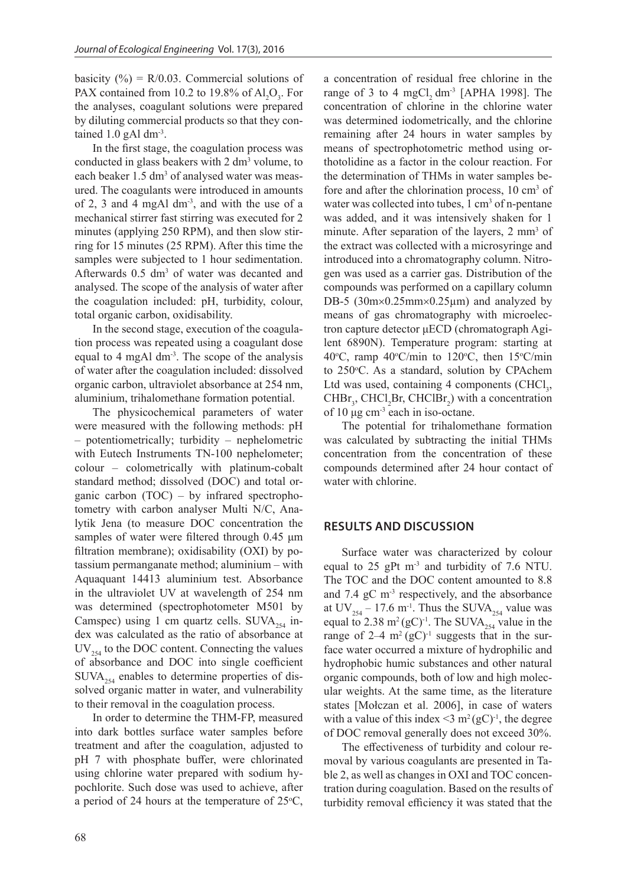basicity (%) =  $R/0.03$ . Commercial solutions of PAX contained from 10.2 to 19.8% of  $Al_2O_3$ . For the analyses, coagulant solutions were prepared by diluting commercial products so that they contained 1.0 gAl dm<sup>-3</sup>.

In the first stage, the coagulation process was conducted in glass beakers with  $2 \text{ dm}^3$  volume, to each beaker 1.5 dm<sup>3</sup> of analysed water was measured. The coagulants were introduced in amounts of 2, 3 and 4 mgAl dm-3, and with the use of a mechanical stirrer fast stirring was executed for 2 minutes (applying 250 RPM), and then slow stirring for 15 minutes (25 RPM). After this time the samples were subjected to 1 hour sedimentation. Afterwards 0.5 dm<sup>3</sup> of water was decanted and analysed. The scope of the analysis of water after the coagulation included: pH, turbidity, colour, total organic carbon, oxidisability.

In the second stage, execution of the coagulation process was repeated using a coagulant dose equal to 4 mgAl dm<sup>-3</sup>. The scope of the analysis of water after the coagulation included: dissolved organic carbon, ultraviolet absorbance at 254 nm, aluminium, trihalomethane formation potential.

The physicochemical parameters of water were measured with the following methods: pH – potentiometrically; turbidity – nephelometric with Eutech Instruments TN-100 nephelometer; colour – colometrically with platinum-cobalt standard method; dissolved (DOC) and total organic carbon (TOC) – by infrared spectrophotometry with carbon analyser Multi N/C, Analytik Jena (to measure DOC concentration the samples of water were filtered through 0.45 μm filtration membrane); oxidisability (OXI) by potassium permanganate method; aluminium – with Aquaquant 14413 aluminium test. Absorbance in the ultraviolet UV at wavelength of 254 nm was determined (spectrophotometer M501 by Camspec) using 1 cm quartz cells. SUVA $_{254}$  index was calculated as the ratio of absorbance at  $UV_{354}$  to the DOC content. Connecting the values of absorbance and DOC into single coefficient  $\text{SUVA}_{254}$  enables to determine properties of dissolved organic matter in water, and vulnerability to their removal in the coagulation process.

In order to determine the THM-FP, measured into dark bottles surface water samples before treatment and after the coagulation, adjusted to pH 7 with phosphate buffer, were chlorinated using chlorine water prepared with sodium hypochlorite. Such dose was used to achieve, after a period of 24 hours at the temperature of  $25^{\circ}$ C, a concentration of residual free chlorine in the range of 3 to 4 mgCl,  $dm^{-3}$  [APHA 1998]. The concentration of chlorine in the chlorine water was determined iodometrically, and the chlorine remaining after 24 hours in water samples by means of spectrophotometric method using orthotolidine as a factor in the colour reaction. For the determination of THMs in water samples before and after the chlorination process,  $10 \text{ cm}^3$  of water was collected into tubes,  $1 \text{ cm}^3$  of n-pentane was added, and it was intensively shaken for 1 minute. After separation of the layers, 2 mm<sup>3</sup> of the extract was collected with a microsyringe and introduced into a chromatography column. Nitrogen was used as a carrier gas. Distribution of the compounds was performed on a capillary column DB-5 (30m×0.25mm×0.25µm) and analyzed by means of gas chromatography with microelectron capture detector μECD (chromatograph Agilent 6890N). Temperature program: starting at 40°C, ramp 40°C/min to 120°C, then  $15^{\circ}$ C/min to 250°C. As a standard, solution by CPAchem Ltd was used, containing 4 components  $\text{CHCl}_3$ ,  $CHBr<sub>3</sub>$ , CHCl<sub>2</sub>Br, CHClBr<sub>2</sub>) with a concentration of 10 μg cm-3 each in iso-octane.

The potential for trihalomethane formation was calculated by subtracting the initial THMs concentration from the concentration of these compounds determined after 24 hour contact of water with chlorine.

### **RESULTS AND DISCUSSION**

Surface water was characterized by colour equal to 25 gPt m-3 and turbidity of 7.6 NTU. The TOC and the DOC content amounted to 8.8 and  $7.4 \text{ gC} \text{ m}^3$  respectively, and the absorbance at UV<sub>254</sub> – 17.6 m<sup>-1</sup>. Thus the SUVA<sub>254</sub> value was equal to 2.38 m<sup>2</sup> (gC)<sup>-1</sup>. The SUVA<sub>254</sub> value in the range of  $2-4$  m<sup>2</sup> (gC)<sup>-1</sup> suggests that in the surface water occurred a mixture of hydrophilic and hydrophobic humic substances and other natural organic compounds, both of low and high molecular weights. At the same time, as the literature states [Mołczan et al. 2006], in case of waters with a value of this index  $\leq$  m<sup>2</sup> (gC)<sup>-1</sup>, the degree of DOC removal generally does not exceed 30%.

The effectiveness of turbidity and colour removal by various coagulants are presented in Table 2, as well as changes in OXI and TOC concentration during coagulation. Based on the results of turbidity removal efficiency it was stated that the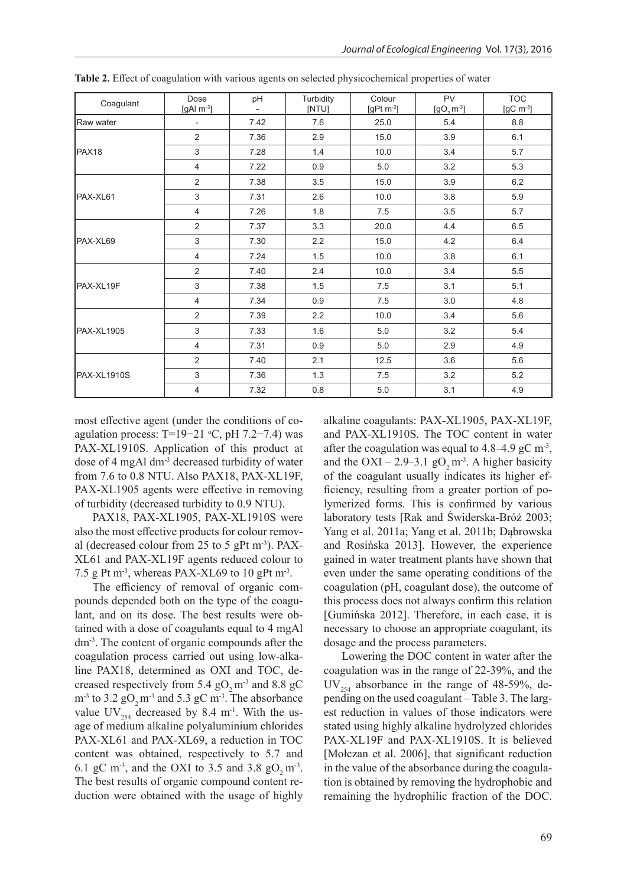| Coagulant         | Dose<br>[gAl $m^{-3}$ ] | pH   | Turbidity<br>[NTU] | Colour<br>[gPt $m^{-3}$ ] | PV<br>$[90, m^3]$ | <b>TOC</b><br>[ $gC$ m $3$ ] |
|-------------------|-------------------------|------|--------------------|---------------------------|-------------------|------------------------------|
| Raw water         | $\overline{a}$          | 7.42 | 7.6                | 25.0                      | 5.4               | 8.8                          |
|                   | $\overline{2}$          | 7.36 | 2.9                | 15.0                      | 3.9               | 6.1                          |
| PAX <sub>18</sub> | 3                       | 7.28 | 1.4                | 10.0                      | 3.4               | 5.7                          |
|                   | 4                       | 7.22 | 0.9                | 5.0                       | 3.2               | 5.3                          |
|                   | $\overline{2}$          | 7.38 | 3.5                | 15.0                      | 3.9               | 6.2                          |
| PAX-XL61          | 3                       | 7.31 | 2.6                | 10.0                      | 3.8               | 5.9                          |
|                   | 4                       | 7.26 | 1.8                | 7.5                       | 3.5               | 5.7                          |
|                   | $\overline{2}$          | 7.37 | 3.3                | 20.0                      | 4.4               | 6.5                          |
| PAX-XL69          | 3                       | 7.30 | 2.2                | 15.0                      | 4.2               | 6.4                          |
|                   | 4                       | 7.24 | 1.5                | 10.0                      | 3.8               | 6.1                          |
|                   | 2                       | 7.40 | 2.4                | 10.0                      | 3.4               | 5.5                          |
| PAX-XL19F         | 3                       | 7.38 | 1.5                | 7.5                       | 3.1               | 5.1                          |
|                   | 4                       | 7.34 | 0.9                | 7.5                       | 3.0               | 4.8                          |
|                   | 2                       | 7.39 | 2.2                | 10.0                      | 3.4               | 5.6                          |
| <b>PAX-XL1905</b> | 3                       | 7.33 | 1.6                | 5.0                       | 3.2               | 5.4                          |
|                   | $\overline{4}$          | 7.31 | 0.9                | 5.0                       | 2.9               | 4.9                          |
| PAX-XL1910S       | 2                       | 7.40 | 2.1                | 12.5                      | 3.6               | 5.6                          |
|                   | 3                       | 7.36 | 1.3                | 7.5                       | 3.2               | 5.2                          |
|                   | 4                       | 7.32 | 0.8                | 5.0                       | 3.1               | 4.9                          |

**Table 2.** Effect of coagulation with various agents on selected physicochemical properties of water

most effective agent (under the conditions of coagulation process: T=19-21 °C, pH 7.2-7.4) was PAX-XL1910S. Application of this product at dose of 4 mgAl dm-3 decreased turbidity of water from 7.6 to 0.8 NTU. Also PAX18, PAX-XL19F, PAX-XL1905 agents were effective in removing of turbidity (decreased turbidity to 0.9 NTU).

PAX18, PAX-XL1905, PAX-XL1910S were also the most effective products for colour removal (decreased colour from 25 to 5 gPt m<sup>-3</sup>). PAX-XL61 and PAX-XL19F agents reduced colour to 7.5 g Pt m<sup>-3</sup>, whereas PAX-XL69 to 10 gPt m<sup>-3</sup>.

The efficiency of removal of organic compounds depended both on the type of the coagulant, and on its dose. The best results were obtained with a dose of coagulants equal to 4 mgAl dm-3. The content of organic compounds after the coagulation process carried out using low-alkaline PAX18, determined as OXI and TOC, decreased respectively from 5.4  $gO$ <sub>2</sub> m<sup>-3</sup> and 8.8  $gC$  $m<sup>-3</sup>$  to 3.2 gO<sub>2</sub> m<sup>-3</sup> and 5.3 gC m<sup>-3</sup>. The absorbance value UV $_{254}$  decreased by 8.4 m<sup>-1</sup>. With the usage of medium alkaline polyaluminium chlorides PAX-XL61 and PAX-XL69, a reduction in TOC content was obtained, respectively to 5.7 and 6.1 gC m<sup>-3</sup>, and the OXI to 3.5 and 3.8 gO<sub>2</sub> m<sup>-3</sup>. The best results of organic compound content reduction were obtained with the usage of highly alkaline coagulants: PAX-XL1905, PAX-XL19F, and PAX-XL1910S. The TOC content in water after the coagulation was equal to  $4.8-4.9$  gC m<sup>-3</sup>, and the OXI – 2.9–3.1 gO<sub>2</sub> m<sup>-3</sup>. A higher basicity of the coagulant usually indicates its higher efficiency, resulting from a greater portion of polymerized forms. This is confirmed by various laboratory tests [Rak and Świderska-Bróż 2003; Yang et al. 2011a; Yang et al. 2011b; Dąbrowska and Rosińska 2013]. However, the experience gained in water treatment plants have shown that even under the same operating conditions of the coagulation (pH, coagulant dose), the outcome of this process does not always confirm this relation [Gumińska 2012]. Therefore, in each case, it is necessary to choose an appropriate coagulant, its dosage and the process parameters.

Lowering the DOC content in water after the coagulation was in the range of 22-39%, and the  $UV_{254}$  absorbance in the range of 48-59%, depending on the used coagulant – Table 3. The largest reduction in values of those indicators were stated using highly alkaline hydrolyzed chlorides PAX-XL19F and PAX-XL1910S. It is believed [Mołczan et al. 2006], that significant reduction in the value of the absorbance during the coagulation is obtained by removing the hydrophobic and remaining the hydrophilic fraction of the DOC.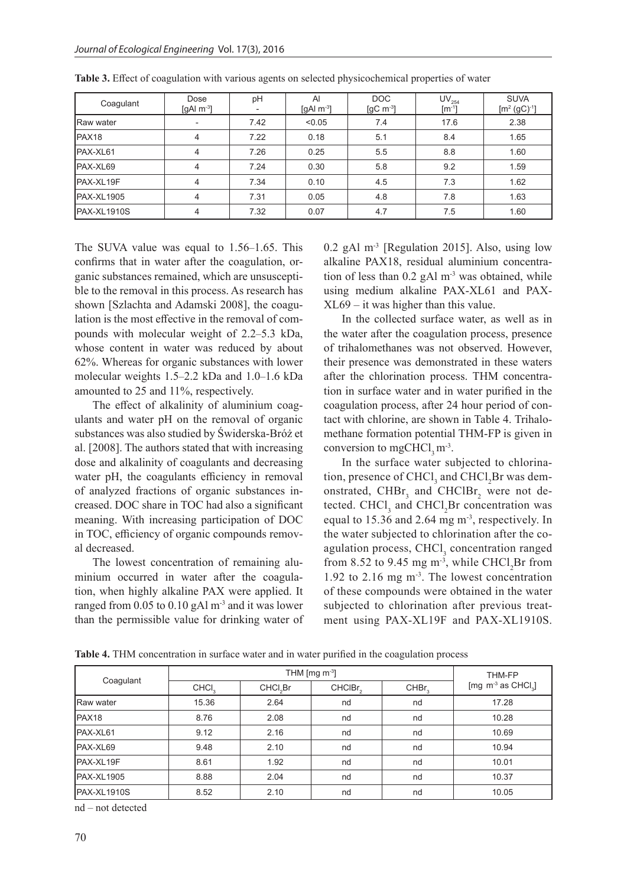| Coagulant         | Dose<br>[gAl $\mathrm{m}$ <sup>-3</sup> ] | pH   | AI<br>[gAl $\mathrm{m}$ <sup>-3</sup> ] | DOC<br>$\left[\text{gC m}^{-3}\right]$ | $UV_{254}$<br>$[m^{-1}]$ | <b>SUVA</b><br>$[m^2 (gC)^{-1}]$ |
|-------------------|-------------------------------------------|------|-----------------------------------------|----------------------------------------|--------------------------|----------------------------------|
| <b>Raw water</b>  | ٠                                         | 7.42 | < 0.05                                  | 7.4                                    | 17.6                     | 2.38                             |
| PAX <sub>18</sub> | 4                                         | 7.22 | 0.18                                    | 5.1                                    | 8.4                      | 1.65                             |
| PAX-XL61          | 4                                         | 7.26 | 0.25                                    | 5.5                                    | 8.8                      | 1.60                             |
| PAX-XL69          | 4                                         | 7.24 | 0.30                                    | 5.8                                    | 9.2                      | 1.59                             |
| PAX-XL19F         | 4                                         | 7.34 | 0.10                                    | 4.5                                    | 7.3                      | 1.62                             |
| PAX-XL1905        | 4                                         | 7.31 | 0.05                                    | 4.8                                    | 7.8                      | 1.63                             |
| PAX-XL1910S       | 4                                         | 7.32 | 0.07                                    | 4.7                                    | 7.5                      | 1.60                             |

**Table 3.** Effect of coagulation with various agents on selected physicochemical properties of water

The SUVA value was equal to 1.56–1.65. This confirms that in water after the coagulation, organic substances remained, which are unsusceptible to the removal in this process. As research has shown [Szlachta and Adamski 2008], the coagulation is the most effective in the removal of compounds with molecular weight of 2.2–5.3 kDa, whose content in water was reduced by about 62%. Whereas for organic substances with lower molecular weights 1.5–2.2 kDa and 1.0–1.6 kDa amounted to 25 and 11%, respectively.

The effect of alkalinity of aluminium coagulants and water pH on the removal of organic substances was also studied by Świderska-Bróż et al. [2008]. The authors stated that with increasing dose and alkalinity of coagulants and decreasing water pH, the coagulants efficiency in removal of analyzed fractions of organic substances increased. DOC share in TOC had also a significant meaning. With increasing participation of DOC in TOC, efficiency of organic compounds removal decreased.

The lowest concentration of remaining aluminium occurred in water after the coagulation, when highly alkaline PAX were applied. It ranged from  $0.05$  to  $0.10$  gAl m<sup>-3</sup> and it was lower than the permissible value for drinking water of 0.2 gAl m-3 [Regulation 2015]. Also, using low alkaline PAX18, residual aluminium concentration of less than  $0.2$  gAl m<sup>-3</sup> was obtained, while using medium alkaline PAX-XL61 and PAX-XL69 – it was higher than this value.

In the collected surface water, as well as in the water after the coagulation process, presence of trihalomethanes was not observed. However, their presence was demonstrated in these waters after the chlorination process. THM concentration in surface water and in water purified in the coagulation process, after 24 hour period of contact with chlorine, are shown in Table 4. Trihalomethane formation potential THM-FP is given in conversion to mgCHCl,  $m<sup>-3</sup>$ .

In the surface water subjected to chlorination, presence of CHCl<sub>3</sub> and CHCl<sub>2</sub>Br was demonstrated,  $CHBr<sub>3</sub>$  and  $CHClBr<sub>2</sub>$  were not detected. CHCl<sub>3</sub> and CHCl<sub>2</sub>Br concentration was equal to 15.36 and 2.64 mg m-3, respectively. In the water subjected to chlorination after the coagulation process, CHCl<sub>3</sub> concentration ranged from 8.52 to 9.45 mg m<sup>-3</sup>, while CHCl<sub>2</sub>Br from 1.92 to 2.16 mg m-3. The lowest concentration of these compounds were obtained in the water subjected to chlorination after previous treatment using PAX-XL19F and PAX-XL1910S.

| Coagulant         |                   | THM-FP               |                     |                   |                                                    |
|-------------------|-------------------|----------------------|---------------------|-------------------|----------------------------------------------------|
|                   | CHCI <sub>3</sub> | CHCl <sub>2</sub> Br | CHCIBr <sub>2</sub> | CHBr <sub>2</sub> | [mg $\, \text{m}^3 \text{ as } \, \text{CHCl}_3$ ] |
| <b>Raw water</b>  | 15.36             | 2.64                 | nd                  | nd                | 17.28                                              |
| PAX <sub>18</sub> | 8.76              | 2.08                 | nd                  | nd                | 10.28                                              |
| PAX-XL61          | 9.12              | 2.16                 | nd                  | nd                | 10.69                                              |
| PAX-XL69          | 9.48              | 2.10                 | nd                  | nd                | 10.94                                              |
| PAX-XL19F         | 8.61              | 1.92                 | nd                  | nd                | 10.01                                              |
| <b>PAX-XL1905</b> | 8.88              | 2.04                 | nd                  | nd                | 10.37                                              |
| PAX-XL1910S       | 8.52              | 2.10                 | nd                  | nd                | 10.05                                              |

**Table 4.** THM concentration in surface water and in water purified in the coagulation process

nd – not detected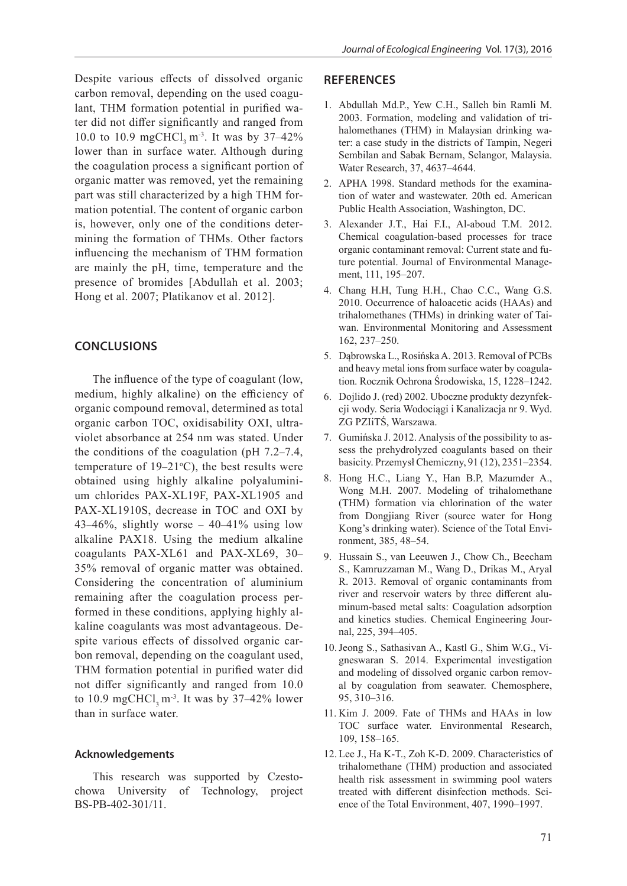Despite various effects of dissolved organic carbon removal, depending on the used coagulant, THM formation potential in purified water did not differ significantly and ranged from 10.0 to 10.9 mgCHCl, m<sup>-3</sup>. It was by  $37-42\%$ lower than in surface water. Although during the coagulation process a significant portion of organic matter was removed, yet the remaining part was still characterized by a high THM formation potential. The content of organic carbon is, however, only one of the conditions determining the formation of THMs. Other factors influencing the mechanism of THM formation are mainly the pH, time, temperature and the presence of bromides [Abdullah et al. 2003; Hong et al. 2007; Platikanov et al. 2012].

## **CONCLUSIONS**

The influence of the type of coagulant (low, medium, highly alkaline) on the efficiency of organic compound removal, determined as total organic carbon TOC, oxidisability OXI, ultraviolet absorbance at 254 nm was stated. Under the conditions of the coagulation (pH 7.2–7.4, temperature of  $19-21$ °C), the best results were obtained using highly alkaline polyaluminium chlorides PAX-XL19F, PAX-XL1905 and PAX-XL1910S, decrease in TOC and OXI by 43–46%, slightly worse –  $40-41\%$  using low alkaline PAX18. Using the medium alkaline coagulants PAX-XL61 and PAX-XL69, 30– 35% removal of organic matter was obtained. Considering the concentration of aluminium remaining after the coagulation process performed in these conditions, applying highly alkaline coagulants was most advantageous. Despite various effects of dissolved organic carbon removal, depending on the coagulant used, THM formation potential in purified water did not differ significantly and ranged from 10.0 to 10.9 mgCHCl,  $m<sup>3</sup>$ . It was by 37–42% lower than in surface water.

### **Acknowledgements**

This research was supported by Czestochowa University of Technology, project BS-PB-402-301/11.

#### **REFERENCES**

- 1. Abdullah Md.P., Yew C.H., Salleh bin Ramli M. 2003. Formation, modeling and validation of trihalomethanes (THM) in Malaysian drinking water: a case study in the districts of Tampin, Negeri Sembilan and Sabak Bernam, Selangor, Malaysia. Water Research, 37, 4637–4644.
- 2. APHA 1998. Standard methods for the examination of water and wastewater. 20th ed. American Public Health Association, Washington, DC.
- 3. Alexander J.T., Hai F.I., Al-aboud T.M. 2012. Chemical coagulation-based processes for trace organic contaminant removal: Current state and future potential. Journal of Environmental Management, 111, 195–207.
- 4. Chang H.H, Tung H.H., Chao C.C., Wang G.S. 2010. Occurrence of haloacetic acids (HAAs) and trihalomethanes (THMs) in drinking water of Taiwan. Environmental Monitoring and Assessment 162, 237–250.
- 5. Dąbrowska L., Rosińska A. 2013. Removal of PCBs and heavy metal ions from surface water by coagulation. Rocznik Ochrona Środowiska, 15, 1228–1242.
- 6. Dojlido J. (red) 2002. Uboczne produkty dezynfekcji wody. Seria Wodociągi i Kanalizacja nr 9. Wyd. ZG PZIiTŚ, Warszawa.
- 7. Gumińska J. 2012. Analysis of the possibility to assess the prehydrolyzed coagulants based on their basicity. Przemysł Chemiczny, 91 (12), 2351–2354.
- 8. Hong H.C., Liang Y., Han B.P, Mazumder A., Wong M.H. 2007. Modeling of trihalomethane (THM) formation via chlorination of the water from Dongjiang River (source water for Hong Kong's drinking water). Science of the Total Environment, 385, 48–54.
- 9. Hussain S., van Leeuwen J., Chow Ch., Beecham S., Kamruzzaman M., Wang D., Drikas M., Aryal R. 2013. Removal of organic contaminants from river and reservoir waters by three different aluminum-based metal salts: Coagulation adsorption and kinetics studies. Chemical Engineering Journal, 225, 394–405.
- 10.Jeong S., Sathasivan A., Kastl G., Shim W.G., Vigneswaran S. 2014. Experimental investigation and modeling of dissolved organic carbon removal by coagulation from seawater. Chemosphere, 95, 310–316.
- 11. Kim J. 2009. Fate of THMs and HAAs in low TOC surface water. Environmental Research, 109, 158–165.
- 12. Lee J., Ha K-T., Zoh K-D. 2009. Characteristics of trihalomethane (THM) production and associated health risk assessment in swimming pool waters treated with different disinfection methods. Science of the Total Environment, 407, 1990–1997.